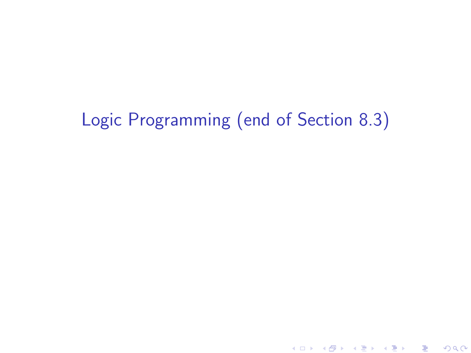# Logic Programming (end of Section 8.3)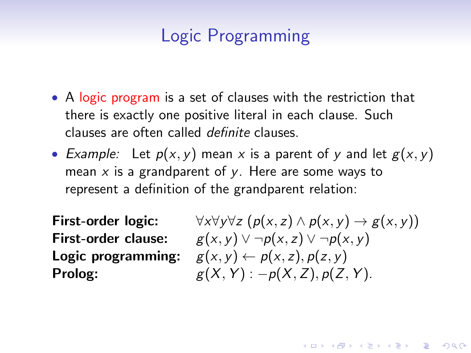### Logic Programming

- A logic program is a set of clauses with the restriction that there is exactly one positive literal in each clause. Such clauses are often called definite clauses.
- Example: Let  $p(x, y)$  mean x is a parent of y and let  $g(x, y)$ mean  $x$  is a grandparent of  $y$ . Here are some ways to represent a definition of the grandparent relation:

First-order logic: First-order clause: Logic programming: Prolog:

$$
\forall x \forall y \forall z (p(x, z) \land p(x, y) \rightarrow g(x, y))
$$
  
 
$$
g(x, y) \lor \neg p(x, z) \lor \neg p(x, y)
$$
  
 
$$
g(x, y) \leftarrow p(x, z), p(z, y)
$$
  
 
$$
g(X, Y) : -p(X, Z), p(Z, Y).
$$

**KORKAR KERKER EL VOLO**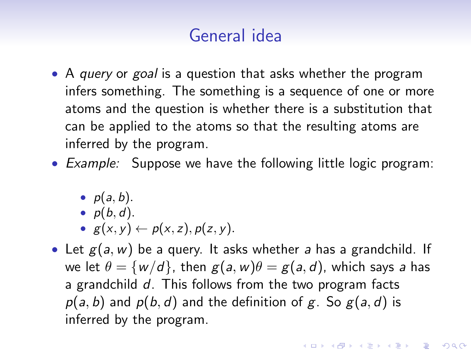### General idea

- A *query* or *goal* is a question that asks whether the program infers something. The something is a sequence of one or more atoms and the question is whether there is a substitution that can be applied to the atoms so that the resulting atoms are inferred by the program.
- Example: Suppose we have the following little logic program:
	- $p(a, b)$ .
	- $p(b, d)$ .
	- $g(x, y) \leftarrow p(x, z), p(z, y)$ .
- Let  $g(a, w)$  be a query. It asks whether a has a grandchild. If we let  $\theta = \{w/d\}$ , then  $g(a, w)\theta = g(a, d)$ , which says a has a grandchild d. This follows from the two program facts  $p(a, b)$  and  $p(b, d)$  and the definition of g. So  $g(a, d)$  is inferred by the program.

**AD A 4 4 4 5 A 5 A 5 A 4 D A 4 D A 4 P A 4 5 A 4 5 A 5 A 4 A 4 A 4 A**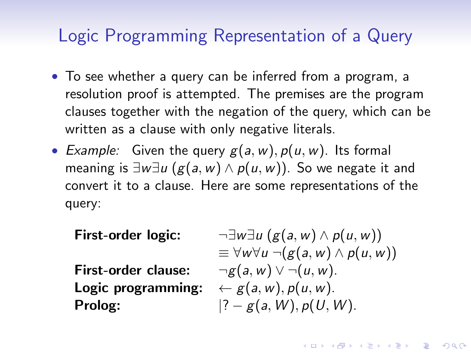#### Logic Programming Representation of a Query

- To see whether a query can be inferred from a program, a resolution proof is attempted. The premises are the program clauses together with the negation of the query, which can be written as a clause with only negative literals.
- Example: Given the query  $g(a, w)$ ,  $p(u, w)$ . Its formal meaning is  $\exists w \exists u (g(a, w) \land p(u, w))$ . So we negate it and convert it to a clause. Here are some representations of the query:

First-order logic:

First-order clause: Logic programming: Prolog:

$$
\neg \exists w \exists u (g(a, w) \land p(u, w))
$$
  
\n
$$
\equiv \forall w \forall u \ \neg(g(a, w) \land p(u, w))
$$
  
\n
$$
\neg g(a, w) \lor \neg(u, w).
$$
  
\n
$$
\leftarrow g(a, w), p(u, w).
$$
  
\n|? - g(a, W), p(U, W).

**KORKAR KERKER E VOOR**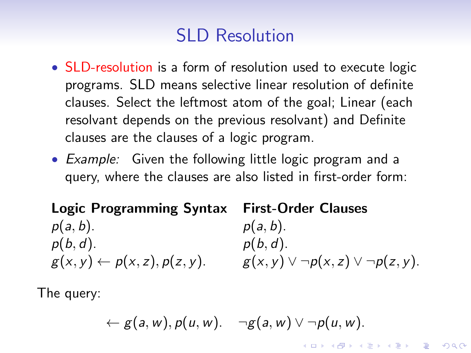## SLD Resolution

- SLD-resolution is a form of resolution used to execute logic programs. SLD means selective linear resolution of definite clauses. Select the leftmost atom of the goal; Linear (each resolvant depends on the previous resolvant) and Definite clauses are the clauses of a logic program.
- Example: Given the following little logic program and a query, where the clauses are also listed in first-order form:

#### Logic Programming Syntax First-Order Clauses  $p(a, b)$ .  $p(a, b)$ .  $p(b, d)$ .  $p(b, d)$ .  $g(x, y) \leftarrow p(x, z), p(z, y).$   $g(x, y) \vee \neg p(x, z) \vee \neg p(z, y).$

The query:

$$
\leftarrow g(a,w), p(u,w). \quad \neg g(a,w) \vee \neg p(u,w).
$$

**KORKAR KERKER EL VOLO**